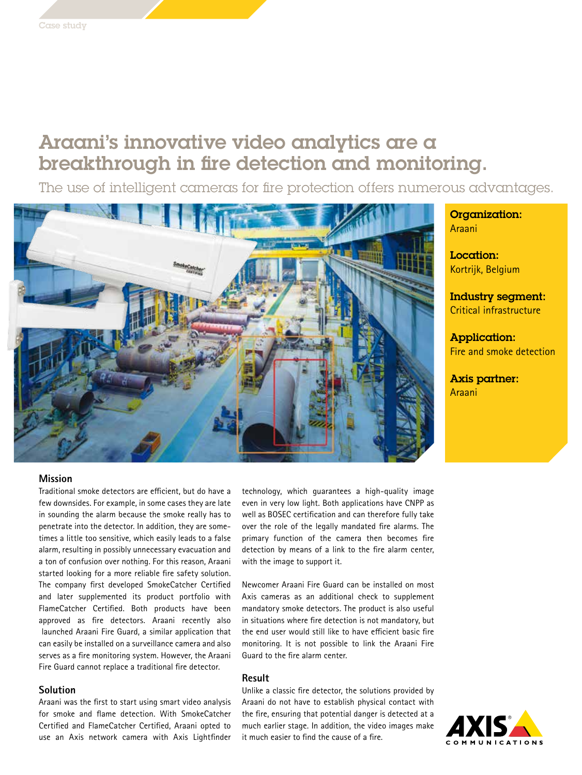# Araani's innovative video analytics are a breakthrough in fire detection and monitoring.

The use of intelligent cameras for fire protection offers numerous advantages.



## **Mission**

Traditional smoke detectors are efficient, but do have a few downsides. For example, in some cases they are late in sounding the alarm because the smoke really has to penetrate into the detector. In addition, they are sometimes a little too sensitive, which easily leads to a false alarm, resulting in possibly unnecessary evacuation and a ton of confusion over nothing. For this reason, Araani started looking for a more reliable fire safety solution. The company first developed SmokeCatcher Certified and later supplemented its product portfolio with FlameCatcher Certified. Both products have been approved as fire detectors. Araani recently also launched Araani Fire Guard, a similar application that can easily be installed on a surveillance camera and also serves as a fire monitoring system. However, the Araani Fire Guard cannot replace a traditional fire detector.

# **Solution**

Araani was the first to start using smart video analysis for smoke and flame detection. With SmokeCatcher Certified and FlameCatcher Certified, Araani opted to use an Axis network camera with Axis Lightfinder

technology, which guarantees a high-quality image even in very low light. Both applications have CNPP as well as BOSEC certification and can therefore fully take over the role of the legally mandated fire alarms. The primary function of the camera then becomes fire detection by means of a link to the fire alarm center, with the image to support it.

Newcomer Araani Fire Guard can be installed on most Axis cameras as an additional check to supplement mandatory smoke detectors. The product is also useful in situations where fire detection is not mandatory, but the end user would still like to have efficient basic fire monitoring. It is not possible to link the Araani Fire Guard to the fire alarm center.

#### **Result**

Unlike a classic fire detector, the solutions provided by Araani do not have to establish physical contact with the fire, ensuring that potential danger is detected at a much earlier stage. In addition, the video images make it much easier to find the cause of a fire.

Organization: Araani

Location: Kortrijk, Belgium

Industry segment: Critical infrastructure

Application: Fire and smoke detection

Axis partner: Araani

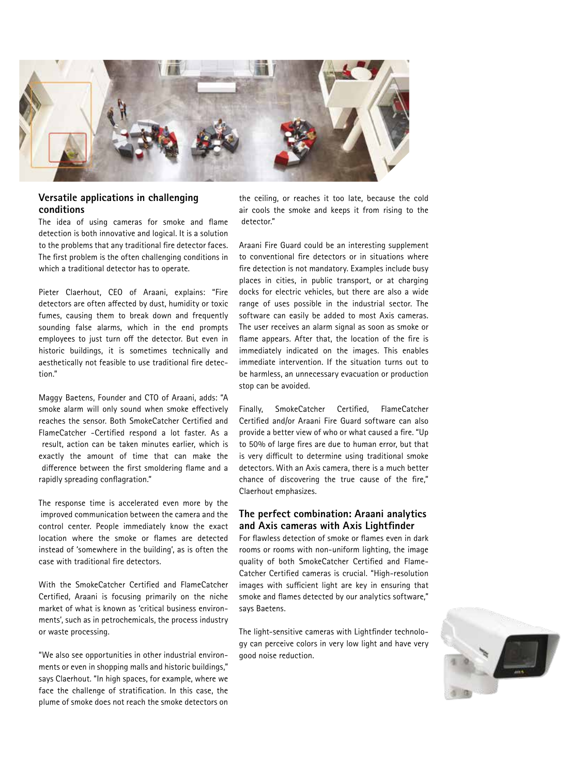

# **Versatile applications in challenging conditions**

The idea of using cameras for smoke and flame detection is both innovative and logical. It is a solution to the problems that any traditional fire detector faces. The first problem is the often challenging conditions in which a traditional detector has to operate.

Pieter Claerhout, CEO of Araani, explains: "Fire detectors are often affected by dust, humidity or toxic fumes, causing them to break down and frequently sounding false alarms, which in the end prompts employees to just turn off the detector. But even in historic buildings, it is sometimes technically and aesthetically not feasible to use traditional fire detection."

Maggy Baetens, Founder and CTO of Araani, adds: "A smoke alarm will only sound when smoke effectively reaches the sensor. Both SmokeCatcher Certified and FlameCatcher -Certified respond a lot faster. As a result, action can be taken minutes earlier, which is exactly the amount of time that can make the difference between the first smoldering flame and a rapidly spreading conflagration."

The response time is accelerated even more by the improved communication between the camera and the control center. People immediately know the exact location where the smoke or flames are detected instead of 'somewhere in the building', as is often the case with traditional fire detectors.

With the SmokeCatcher Certified and FlameCatcher Certified, Araani is focusing primarily on the niche market of what is known as 'critical business environments', such as in petrochemicals, the process industry or waste processing.

"We also see opportunities in other industrial environments or even in shopping malls and historic buildings," says Claerhout. "In high spaces, for example, where we face the challenge of stratification. In this case, the plume of smoke does not reach the smoke detectors on the ceiling, or reaches it too late, because the cold air cools the smoke and keeps it from rising to the detector."

Araani Fire Guard could be an interesting supplement to conventional fire detectors or in situations where fire detection is not mandatory. Examples include busy places in cities, in public transport, or at charging docks for electric vehicles, but there are also a wide range of uses possible in the industrial sector. The software can easily be added to most Axis cameras. The user receives an alarm signal as soon as smoke or flame appears. After that, the location of the fire is immediately indicated on the images. This enables immediate intervention. If the situation turns out to be harmless, an unnecessary evacuation or production stop can be avoided.

Finally, SmokeCatcher Certified, FlameCatcher Certified and/or Araani Fire Guard software can also provide a better view of who or what caused a fire. "Up to 50% of large fires are due to human error, but that is very difficult to determine using traditional smoke detectors. With an Axis camera, there is a much better chance of discovering the true cause of the fire," Claerhout emphasizes.

## **The perfect combination: Araani analytics and Axis cameras with Axis Lightfinder**

For flawless detection of smoke or flames even in dark rooms or rooms with non-uniform lighting, the image quality of both SmokeCatcher Certified and Flame-Catcher Certified cameras is crucial. "High-resolution images with sufficient light are key in ensuring that smoke and flames detected by our analytics software," says Baetens.

The light-sensitive cameras with Lightfinder technology can perceive colors in very low light and have very good noise reduction.

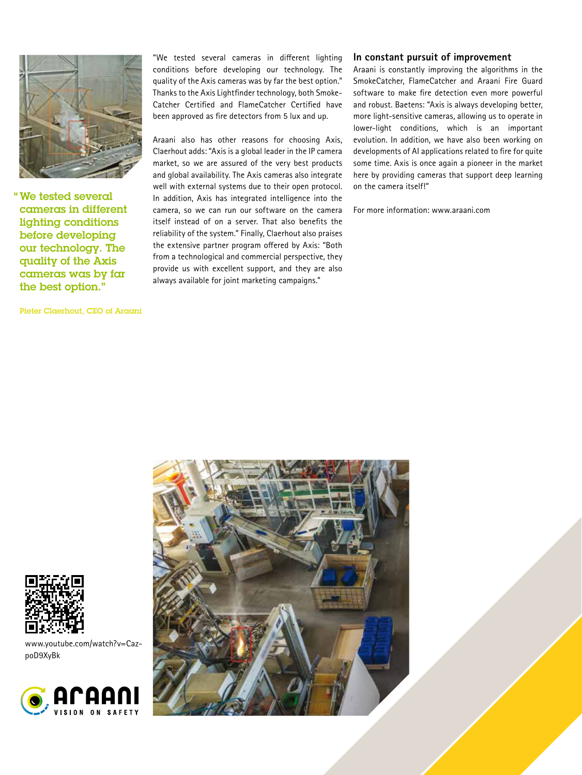

" We tested several cameras in different lighting conditions before developing our technology. The quality of the Axis cameras was by far the best option."

Pieter Claerhout, CEO of Araani

"We tested several cameras in different lighting conditions before developing our technology. The quality of the Axis cameras was by far the best option." Thanks to the Axis Lightfinder technology, both Smoke-Catcher Certified and FlameCatcher Certified have been approved as fire detectors from 5 lux and up.

Araani also has other reasons for choosing Axis, Claerhout adds: "Axis is a global leader in the IP camera market, so we are assured of the very best products and global availability. The Axis cameras also integrate well with external systems due to their open protocol. In addition, Axis has integrated intelligence into the camera, so we can run our software on the camera itself instead of on a server. That also benefits the reliability of the system." Finally, Claerhout also praises the extensive partner program offered by Axis: "Both from a technological and commercial perspective, they provide us with excellent support, and they are also always available for joint marketing campaigns."

# **In constant pursuit of improvement**

Araani is constantly improving the algorithms in the SmokeCatcher, FlameCatcher and Araani Fire Guard software to make fire detection even more powerful and robust. Baetens: "Axis is always developing better, more light-sensitive cameras, allowing us to operate in lower-light conditions, which is an important evolution. In addition, we have also been working on developments of AI applications related to fire for quite some time. Axis is once again a pioneer in the market here by providing cameras that support deep learning on the camera itself!"

For more information: www.araani.com





www.youtube.com/watch?v=CazpoD9XyBk